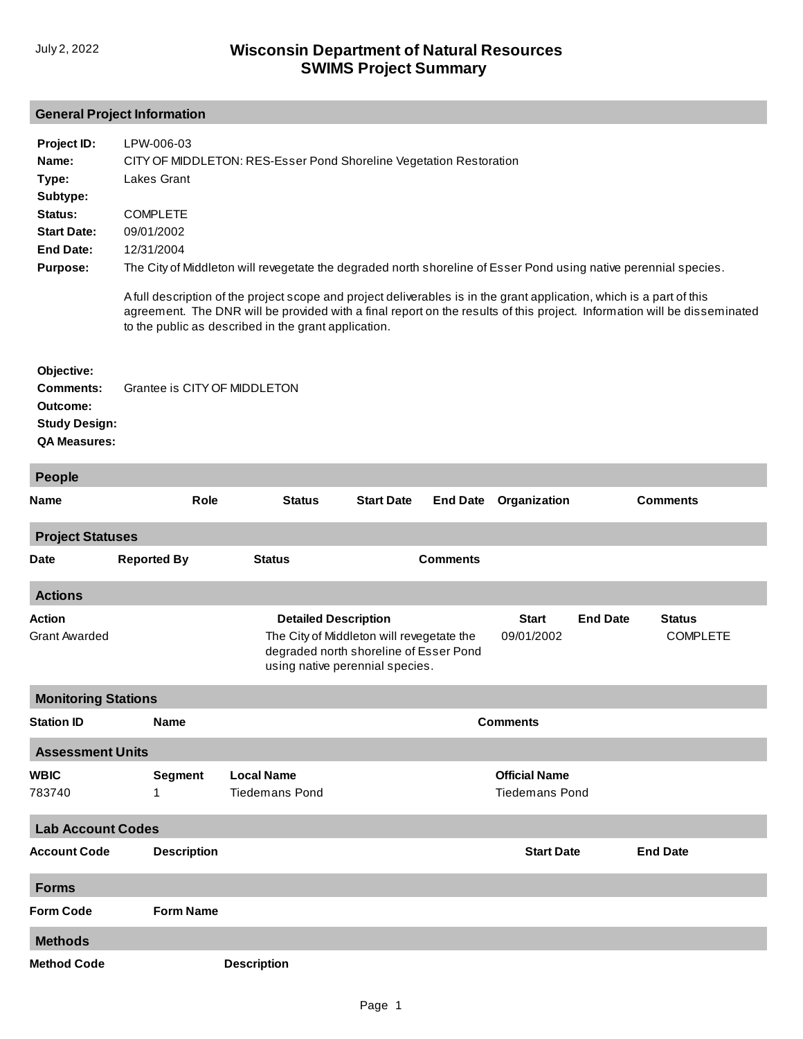## **General Project Information**

| Project ID:<br>Name:<br>Type:<br>Subtype:<br>Status:<br><b>Start Date:</b><br><b>End Date:</b><br><b>Purpose:</b> | LPW-006-03<br>CITY OF MIDDLETON: RES-Esser Pond Shoreline Vegetation Restoration<br><b>Lakes Grant</b><br><b>COMPLETE</b><br>09/01/2002<br>12/31/2004<br>The City of Middleton will revegetate the degraded north shoreline of Esser Pond using native perennial species.<br>A full description of the project scope and project deliverables is in the grant application, which is a part of this<br>agreement. The DNR will be provided with a final report on the results of this project. Information will be disseminated<br>to the public as described in the grant application. |                                                                                                                                                       |                   |                   |                                               |                 |                                  |  |
|-------------------------------------------------------------------------------------------------------------------|----------------------------------------------------------------------------------------------------------------------------------------------------------------------------------------------------------------------------------------------------------------------------------------------------------------------------------------------------------------------------------------------------------------------------------------------------------------------------------------------------------------------------------------------------------------------------------------|-------------------------------------------------------------------------------------------------------------------------------------------------------|-------------------|-------------------|-----------------------------------------------|-----------------|----------------------------------|--|
| Objective:<br><b>Comments:</b><br>Outcome:<br><b>Study Design:</b><br><b>QA Measures:</b>                         | Grantee is CITY OF MIDDLETON                                                                                                                                                                                                                                                                                                                                                                                                                                                                                                                                                           |                                                                                                                                                       |                   |                   |                                               |                 |                                  |  |
| <b>People</b>                                                                                                     |                                                                                                                                                                                                                                                                                                                                                                                                                                                                                                                                                                                        |                                                                                                                                                       |                   |                   |                                               |                 |                                  |  |
| Name                                                                                                              | Role                                                                                                                                                                                                                                                                                                                                                                                                                                                                                                                                                                                   | <b>Status</b>                                                                                                                                         | <b>Start Date</b> | <b>End Date</b>   | Organization                                  |                 | <b>Comments</b>                  |  |
| <b>Project Statuses</b>                                                                                           |                                                                                                                                                                                                                                                                                                                                                                                                                                                                                                                                                                                        |                                                                                                                                                       |                   |                   |                                               |                 |                                  |  |
| Date                                                                                                              | <b>Reported By</b>                                                                                                                                                                                                                                                                                                                                                                                                                                                                                                                                                                     | <b>Status</b>                                                                                                                                         |                   | <b>Comments</b>   |                                               |                 |                                  |  |
| <b>Actions</b>                                                                                                    |                                                                                                                                                                                                                                                                                                                                                                                                                                                                                                                                                                                        |                                                                                                                                                       |                   |                   |                                               |                 |                                  |  |
| Action<br><b>Grant Awarded</b>                                                                                    |                                                                                                                                                                                                                                                                                                                                                                                                                                                                                                                                                                                        | <b>Detailed Description</b><br>The City of Middleton will revegetate the<br>degraded north shoreline of Esser Pond<br>using native perennial species. |                   |                   | <b>Start</b><br>09/01/2002                    | <b>End Date</b> | <b>Status</b><br><b>COMPLETE</b> |  |
| <b>Monitoring Stations</b>                                                                                        |                                                                                                                                                                                                                                                                                                                                                                                                                                                                                                                                                                                        |                                                                                                                                                       |                   |                   |                                               |                 |                                  |  |
| Station ID                                                                                                        | <b>Name</b>                                                                                                                                                                                                                                                                                                                                                                                                                                                                                                                                                                            | <b>Comments</b>                                                                                                                                       |                   |                   |                                               |                 |                                  |  |
| <b>Assessment Units</b>                                                                                           |                                                                                                                                                                                                                                                                                                                                                                                                                                                                                                                                                                                        |                                                                                                                                                       |                   |                   |                                               |                 |                                  |  |
| WBIC<br>783740                                                                                                    | <b>Segment</b>                                                                                                                                                                                                                                                                                                                                                                                                                                                                                                                                                                         | <b>Local Name</b><br><b>Tiedemans Pond</b>                                                                                                            |                   |                   | <b>Official Name</b><br><b>Tiedemans Pond</b> |                 |                                  |  |
| <b>Lab Account Codes</b>                                                                                          |                                                                                                                                                                                                                                                                                                                                                                                                                                                                                                                                                                                        |                                                                                                                                                       |                   |                   |                                               |                 |                                  |  |
| <b>Account Code</b>                                                                                               | <b>Description</b>                                                                                                                                                                                                                                                                                                                                                                                                                                                                                                                                                                     |                                                                                                                                                       |                   | <b>Start Date</b> |                                               | <b>End Date</b> |                                  |  |
| <b>Forms</b>                                                                                                      |                                                                                                                                                                                                                                                                                                                                                                                                                                                                                                                                                                                        |                                                                                                                                                       |                   |                   |                                               |                 |                                  |  |
| <b>Form Code</b>                                                                                                  | <b>Form Name</b>                                                                                                                                                                                                                                                                                                                                                                                                                                                                                                                                                                       |                                                                                                                                                       |                   |                   |                                               |                 |                                  |  |
| <b>Methods</b>                                                                                                    |                                                                                                                                                                                                                                                                                                                                                                                                                                                                                                                                                                                        |                                                                                                                                                       |                   |                   |                                               |                 |                                  |  |
| <b>Method Code</b>                                                                                                |                                                                                                                                                                                                                                                                                                                                                                                                                                                                                                                                                                                        | <b>Description</b>                                                                                                                                    |                   |                   |                                               |                 |                                  |  |